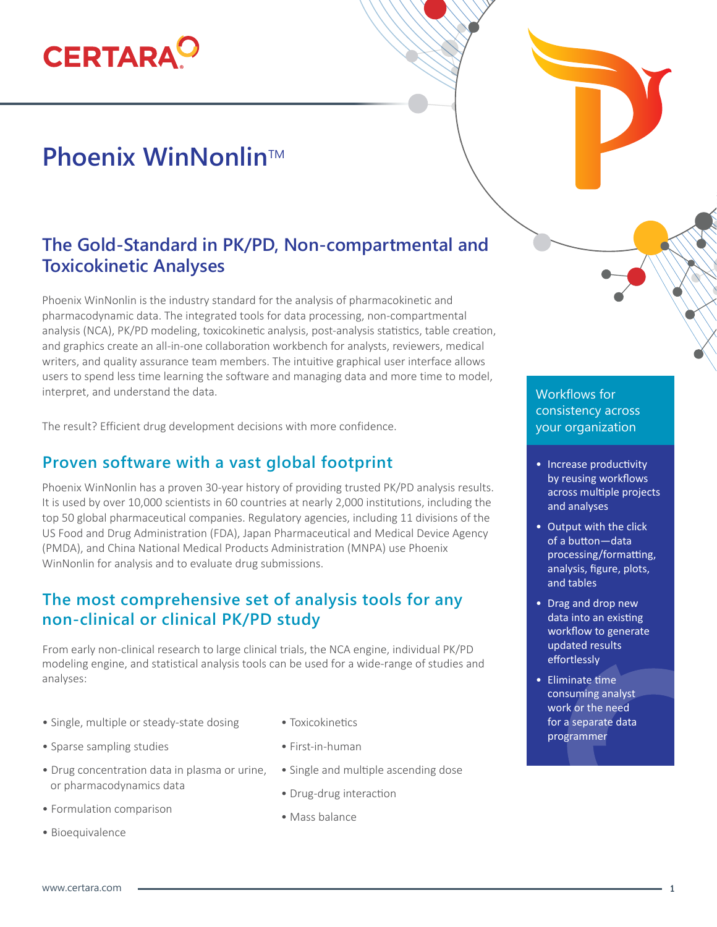# **CERTARA**

# **Phoenix WinNonlin™**

# **The Gold-Standard in PK/PD, Non-compartmental and Toxicokinetic Analyses**

Phoenix WinNonlin is the industry standard for the analysis of pharmacokinetic and pharmacodynamic data. The integrated tools for data processing, non-compartmental analysis (NCA), PK/PD modeling, toxicokinetic analysis, post-analysis statistics, table creation, and graphics create an all-in-one collaboration workbench for analysts, reviewers, medical writers, and quality assurance team members. The intuitive graphical user interface allows users to spend less time learning the software and managing data and more time to model, interpret, and understand the data.

The result? Efficient drug development decisions with more confidence.

#### **Proven software with a vast global footprint**

Phoenix WinNonlin has a proven 30-year history of providing trusted PK/PD analysis results. It is used by over 10,000 scientists in 60 countries at nearly 2,000 institutions, including the top 50 global pharmaceutical companies. Regulatory agencies, including 11 divisions of the US Food and Drug Administration (FDA), Japan Pharmaceutical and Medical Device Agency (PMDA), and China National Medical Products Administration (MNPA) use Phoenix WinNonlin for analysis and to evaluate drug submissions.

#### **The most comprehensive set of analysis tools for any non-clinical or clinical PK/PD study**

From early non-clinical research to large clinical trials, the NCA engine, individual PK/PD modeling engine, and statistical analysis tools can be used for a wide-range of studies and analyses:

- Single, multiple or steady-state dosing
- Sparse sampling studies
- Drug concentration data in plasma or urine, or pharmacodynamics data
- Formulation comparison
- Bioequivalence
- Toxicokinetics
- First-in-human
- Single and multiple ascending dose
- Drug-drug interaction
- Mass balance

#### Workflows for consistency across your organization

- Increase productivity by reusing workflows across multiple projects and analyses
- Output with the click of a button—data processing/formatting, analysis, figure, plots, and tables
- Drag and drop new data into an existing workflow to generate updated results effortlessly
- Eliminate time consuming analyst work or the need for a separate data programmer